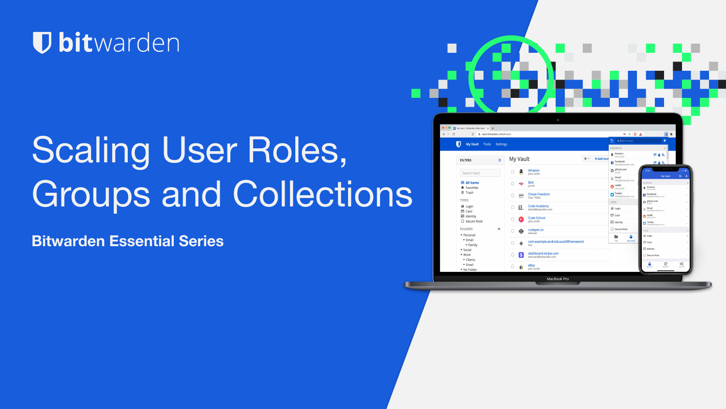## **U bit**warden

# Scaling User Roles, Groups and Collections

**Bitwarden Essential Series**

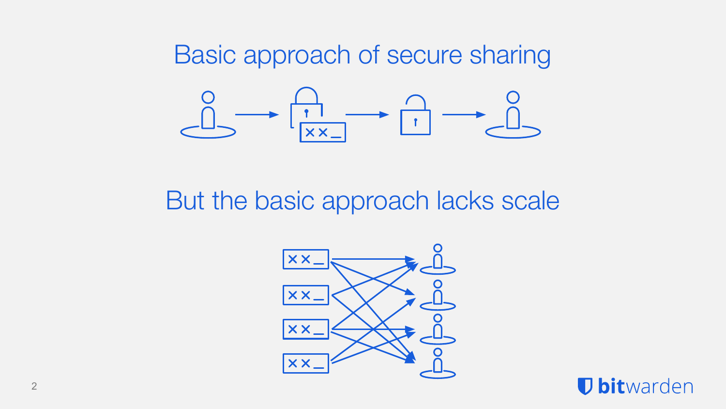Basic approach of secure sharing  $\underbrace{\begin{matrix}0\\1\end{matrix}}\longrightarrow \begin{matrix} \overbrace{\begin{matrix}1\\x\times x\end{matrix}}\end{matrix}}\longrightarrow \begin{matrix} \overbrace{\begin{matrix}1\\1\end{matrix}}\end{matrix}}\longrightarrow \begin{matrix} \overbrace{\begin{matrix}0\\1\end{matrix}}\end{matrix}$ 

But the basic approach lacks scale



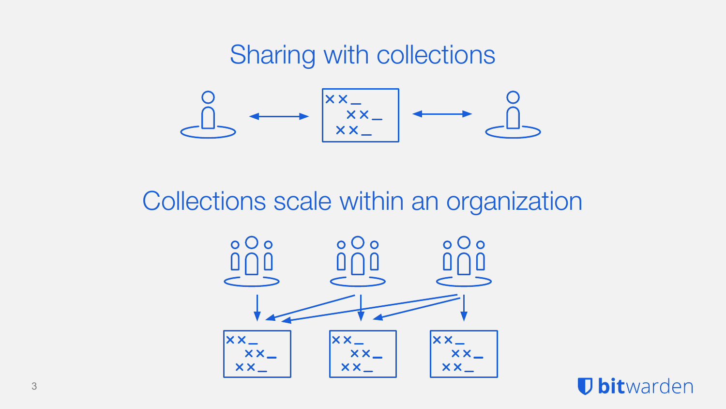### Sharing with collections



Collections scale within an organization



**U bit**warden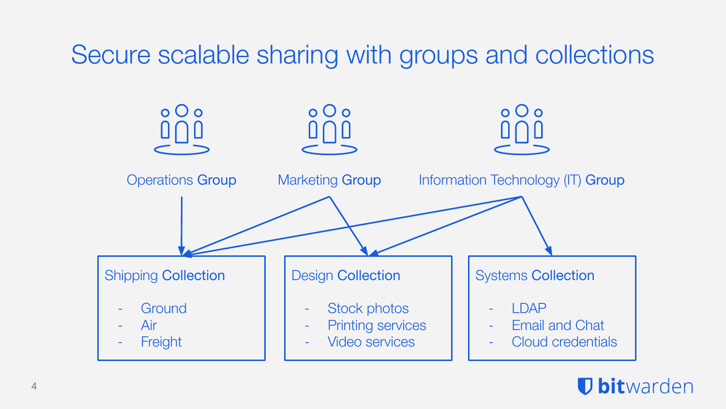## Secure scalable sharing with groups and collections



#### *U* bitwarden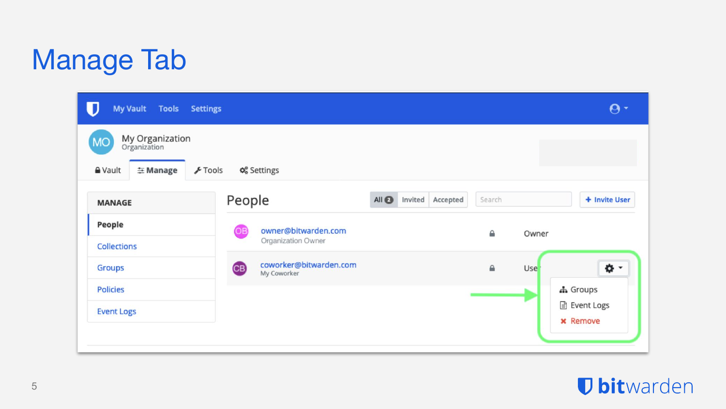## Manage Tab

| My Vault Tools Settings                                                                 |                                                    |                                         |              | $\boldsymbol{\Theta}$    |
|-----------------------------------------------------------------------------------------|----------------------------------------------------|-----------------------------------------|--------------|--------------------------|
| My Organization<br>Organization<br><b>MO</b><br><b>A</b> Vault<br>$F$ Tools<br>호 Manage | Q <sub>6</sub> <sup>8</sup> Settings               |                                         |              |                          |
| <b>MANAGE</b>                                                                           | People                                             | All <sub>Q</sub><br>Invited<br>Accepted | Search       | + Invite User            |
| People<br><b>Collections</b>                                                            | owner@bitwarden.com<br>OB<br>Organization Owner    |                                         | ≙            | Owner                    |
| <b>Groups</b>                                                                           | coworker@bitwarden.com<br><b>CB</b><br>My Coworker |                                         | $\triangleq$ | ۰ ت<br>Use <sup>-</sup>  |
| <b>Policies</b><br><b>Event Logs</b>                                                    |                                                    |                                         |              | h Groups<br>■ Event Logs |
|                                                                                         |                                                    |                                         |              | <b>x</b> Remove          |

### *U* bitwarden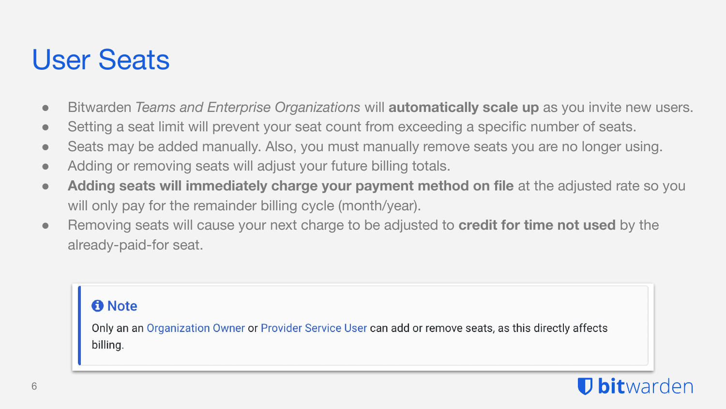## User Seats

- Bitwarden *Teams and Enterprise Organizations* will **automatically scale up** as you invite new users.
- Setting a seat limit will prevent your seat count from exceeding a specific number of seats.
- Seats may be added manually. Also, you must manually remove seats you are no longer using.
- Adding or removing seats will adjust your future billing totals.
- **Adding seats will immediately charge your payment method on file** at the adjusted rate so you will only pay for the remainder billing cycle (month/year).
- Removing seats will cause your next charge to be adjusted to **credit for time not used** by the already-paid-for seat.

#### **O** Note

Only an an Organization Owner or Provider Service User can add or remove seats, as this directly affects billing.

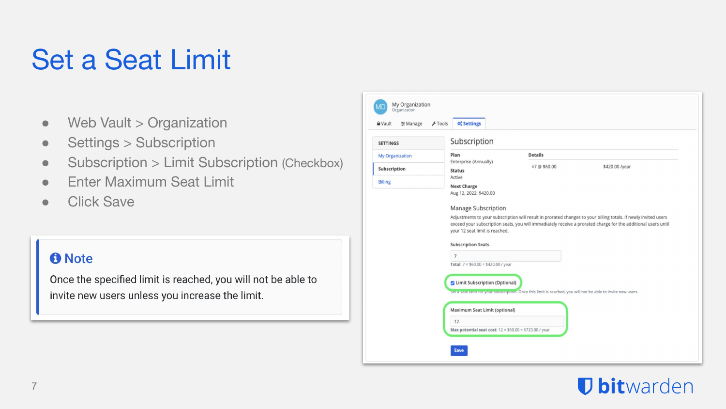## Set a Seat Limit

- $\bullet$  Web Vault  $>$  Organization
- Settings > Subscription
- Subscription > Limit Subscription (Checkbox)
- **Enter Maximum Seat Limit**
- Click Save

#### **O** Note

Once the specified limit is reached, you will not be able to invite new users unless you increase the limit.



### **D** bitwarden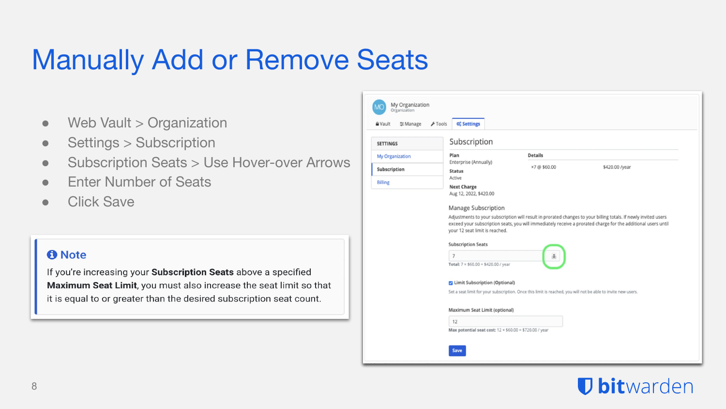## Manually Add or Remove Seats

- Web Vault > Organization
- Settings > Subscription
- Subscription Seats > Use Hover-over Arrows
- **Enter Number of Seats**
- **Click Save**

#### **O** Note

If you're increasing your Subscription Seats above a specified Maximum Seat Limit, you must also increase the seat limit so that it is equal to or greater than the desired subscription seat count.

| My Organization<br>Organization         |                                                                                                                                        |                |                |  |  |  |
|-----------------------------------------|----------------------------------------------------------------------------------------------------------------------------------------|----------------|----------------|--|--|--|
| $F$ Tools<br><b>A</b> Vault<br>= Manage | <b>O<sub>o</sub></b> Settings                                                                                                          |                |                |  |  |  |
| <b>SETTINGS</b>                         | Subscription                                                                                                                           |                |                |  |  |  |
| My Organization                         | Plan<br>Enterprise (Annually)<br><b>Status</b>                                                                                         | <b>Details</b> |                |  |  |  |
| Subscription<br><b>Billing</b>          |                                                                                                                                        | ×7@\$60.00     | \$420.00 /year |  |  |  |
|                                         | Active                                                                                                                                 |                |                |  |  |  |
|                                         | <b>Next Charge</b><br>Aug 12, 2022, \$420.00                                                                                           |                |                |  |  |  |
|                                         |                                                                                                                                        |                |                |  |  |  |
|                                         | Manage Subscription<br>Adjustments to your subscription will result in prorated changes to your billing totals. If newly invited users |                |                |  |  |  |
|                                         | exceed your subscription seats, you will immediately receive a prorated charge for the additional users until                          |                |                |  |  |  |
|                                         | your 12 seat limit is reached.                                                                                                         |                |                |  |  |  |
|                                         | <b>Subscription Seats</b><br>$\overline{7}$<br>$\hat{\mathbf{v}}$                                                                      |                |                |  |  |  |
|                                         |                                                                                                                                        |                |                |  |  |  |
|                                         | Total: $7 \times $60.00 = $420.00$ / year                                                                                              |                |                |  |  |  |
|                                         | <b>Z</b> Limit Subscription (Optional)                                                                                                 |                |                |  |  |  |
|                                         | Set a seat limit for your subscription. Once this limit is reached, you will not be able to invite new users.                          |                |                |  |  |  |
|                                         |                                                                                                                                        |                |                |  |  |  |
|                                         | Maximum Seat Limit (optional)                                                                                                          |                |                |  |  |  |
|                                         | 12                                                                                                                                     |                |                |  |  |  |
|                                         | Max potential seat cost: 12 × \$60.00 = \$720.00 / year                                                                                |                |                |  |  |  |
|                                         |                                                                                                                                        |                |                |  |  |  |
|                                         | Save                                                                                                                                   |                |                |  |  |  |

### **D** bitwarden